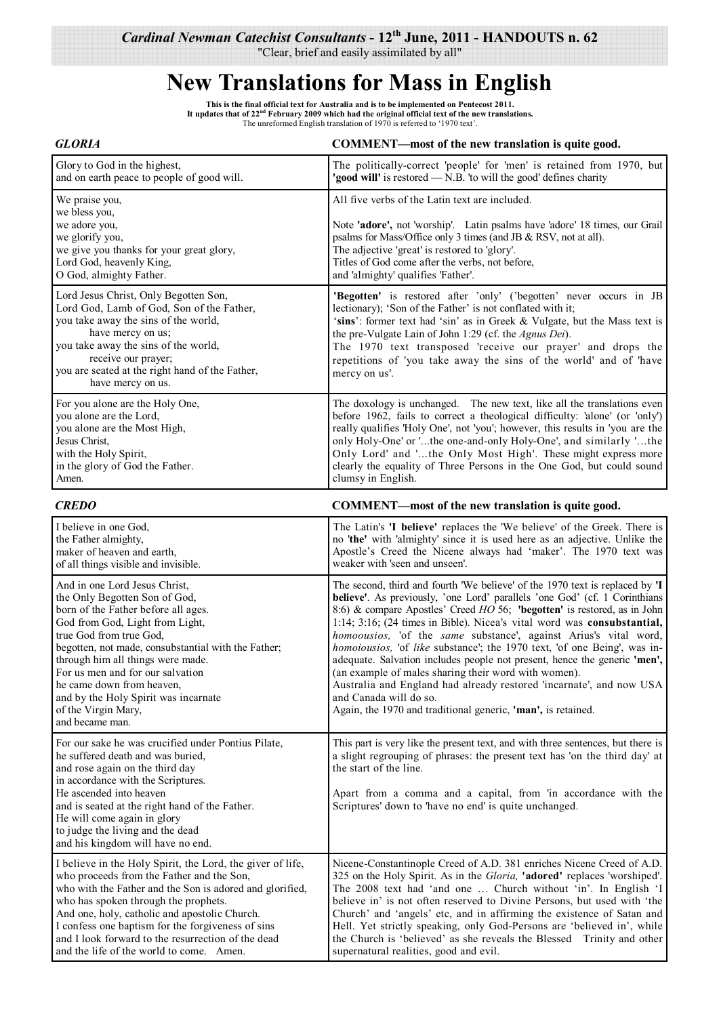"Clear, brief and easily assimilated by all"

## **New Translations for Mass in English**

This is the final official text for Australia and is to be implemented on Pentecost 2011.<br>It updates that of 22<sup>nd</sup> February 2009 which had the original official text of the new translations. The unreformed English translation of 1970 is referred to '1970 text'.

## *GLORIA* **COMMENT—most of the new translation is quite good.**

| Glory to God in the highest,                                                                                                                                                                                                                                                           | The politically-correct 'people' for 'men' is retained from 1970, but                                                                                                                                                                                                                                                                                                                                                                |
|----------------------------------------------------------------------------------------------------------------------------------------------------------------------------------------------------------------------------------------------------------------------------------------|--------------------------------------------------------------------------------------------------------------------------------------------------------------------------------------------------------------------------------------------------------------------------------------------------------------------------------------------------------------------------------------------------------------------------------------|
| and on earth peace to people of good will.                                                                                                                                                                                                                                             | "good will" is restored — N.B. 'to will the good' defines charity                                                                                                                                                                                                                                                                                                                                                                    |
| We praise you,<br>we bless you,<br>we adore you,<br>we glorify you,<br>we give you thanks for your great glory,<br>Lord God, heavenly King,<br>O God, almighty Father.                                                                                                                 | All five verbs of the Latin text are included.<br>Note 'adore', not 'worship'. Latin psalms have 'adore' 18 times, our Grail<br>psalms for Mass/Office only 3 times (and JB $&$ RSV, not at all).<br>The adjective 'great' is restored to 'glory'.<br>Titles of God come after the verbs, not before,<br>and 'almighty' qualifies 'Father'.                                                                                          |
| Lord Jesus Christ, Only Begotten Son,<br>Lord God, Lamb of God, Son of the Father,<br>you take away the sins of the world,<br>have mercy on us;<br>you take away the sins of the world,<br>receive our prayer;<br>you are seated at the right hand of the Father,<br>have mercy on us. | 'Begotten' is restored after 'only' ('begotten' never occurs in JB<br>lectionary); 'Son of the Father' is not conflated with it;<br>'sins': former text had 'sin' as in Greek & Vulgate, but the Mass text is<br>the pre-Vulgate Lain of John 1:29 (cf. the <i>Agnus Dei</i> ).<br>The 1970 text transposed 'receive our prayer' and drops the<br>repetitions of 'you take away the sins of the world' and of 'have<br>mercy on us'. |
| For you alone are the Holy One,                                                                                                                                                                                                                                                        | The doxology is unchanged. The new text, like all the translations even                                                                                                                                                                                                                                                                                                                                                              |
| you alone are the Lord,                                                                                                                                                                                                                                                                | before 1962, fails to correct a theological difficulty: 'alone' (or 'only')                                                                                                                                                                                                                                                                                                                                                          |
| you alone are the Most High,                                                                                                                                                                                                                                                           | really qualifies 'Holy One', not 'you'; however, this results in 'you are the                                                                                                                                                                                                                                                                                                                                                        |
| Jesus Christ.                                                                                                                                                                                                                                                                          | only Holy-One' or 'the one-and-only Holy-One', and similarly 'the                                                                                                                                                                                                                                                                                                                                                                    |
| with the Holy Spirit,                                                                                                                                                                                                                                                                  | Only Lord' and 'the Only Most High'. These might express more                                                                                                                                                                                                                                                                                                                                                                        |
| in the glory of God the Father.                                                                                                                                                                                                                                                        | clearly the equality of Three Persons in the One God, but could sound                                                                                                                                                                                                                                                                                                                                                                |
| Amen.                                                                                                                                                                                                                                                                                  | clumsy in English.                                                                                                                                                                                                                                                                                                                                                                                                                   |

*CREDO* **COMMENT—most of the new translation is quite good.** 

| I believe in one God,                                                                                                                                                                                                                                                                                                                                                                                              | The Latin's 'I believe' replaces the 'We believe' of the Greek. There is                                                                                                                                                                                                                                                                                                                                                                                                                                                                                                                                                                                                                                                                                                                       |
|--------------------------------------------------------------------------------------------------------------------------------------------------------------------------------------------------------------------------------------------------------------------------------------------------------------------------------------------------------------------------------------------------------------------|------------------------------------------------------------------------------------------------------------------------------------------------------------------------------------------------------------------------------------------------------------------------------------------------------------------------------------------------------------------------------------------------------------------------------------------------------------------------------------------------------------------------------------------------------------------------------------------------------------------------------------------------------------------------------------------------------------------------------------------------------------------------------------------------|
| the Father almighty,                                                                                                                                                                                                                                                                                                                                                                                               | no 'the' with 'almighty' since it is used here as an adjective. Unlike the                                                                                                                                                                                                                                                                                                                                                                                                                                                                                                                                                                                                                                                                                                                     |
| maker of heaven and earth,                                                                                                                                                                                                                                                                                                                                                                                         | Apostle's Creed the Nicene always had 'maker'. The 1970 text was                                                                                                                                                                                                                                                                                                                                                                                                                                                                                                                                                                                                                                                                                                                               |
| of all things visible and invisible.                                                                                                                                                                                                                                                                                                                                                                               | weaker with 'seen and unseen'.                                                                                                                                                                                                                                                                                                                                                                                                                                                                                                                                                                                                                                                                                                                                                                 |
| And in one Lord Jesus Christ,<br>the Only Begotten Son of God,<br>born of the Father before all ages.<br>God from God, Light from Light,<br>true God from true God.<br>begotten, not made, consubstantial with the Father;<br>through him all things were made.<br>For us men and for our salvation<br>he came down from heaven,<br>and by the Holy Spirit was incarnate<br>of the Virgin Mary,<br>and became man. | The second, third and fourth 'We believe' of the 1970 text is replaced by 'I<br>believe'. As previously, 'one Lord' parallels 'one God' (cf. 1 Corinthians<br>8:6) & compare Apostles' Creed HO 56; 'begotten' is restored, as in John<br>1:14; 3:16; (24 times in Bible). Nicea's vital word was consubstantial,<br><i>homoousios</i> , 'of the <i>same</i> substance', against Arius's vital word,<br><i>homoiousios</i> , 'of like substance'; the 1970 text, 'of one Being', was in-<br>adequate. Salvation includes people not present, hence the generic 'men',<br>(an example of males sharing their word with women).<br>Australia and England had already restored 'incarnate', and now USA<br>and Canada will do so.<br>Again, the 1970 and traditional generic, 'man', is retained. |
| For our sake he was crucified under Pontius Pilate,<br>he suffered death and was buried.<br>and rose again on the third day<br>in accordance with the Scriptures.<br>He ascended into heaven<br>and is seated at the right hand of the Father.<br>He will come again in glory<br>to judge the living and the dead<br>and his kingdom will have no end.                                                             | This part is very like the present text, and with three sentences, but there is<br>a slight regrouping of phrases: the present text has 'on the third day' at<br>the start of the line.<br>Apart from a comma and a capital, from 'in accordance with the<br>Scriptures' down to 'have no end' is quite unchanged.                                                                                                                                                                                                                                                                                                                                                                                                                                                                             |
| I believe in the Holy Spirit, the Lord, the giver of life,                                                                                                                                                                                                                                                                                                                                                         | Nicene-Constantinople Creed of A.D. 381 enriches Nicene Creed of A.D.                                                                                                                                                                                                                                                                                                                                                                                                                                                                                                                                                                                                                                                                                                                          |
| who proceeds from the Father and the Son,                                                                                                                                                                                                                                                                                                                                                                          | 325 on the Holy Spirit. As in the <i>Gloria</i> , 'adored' replaces 'worshiped'.                                                                                                                                                                                                                                                                                                                                                                                                                                                                                                                                                                                                                                                                                                               |
| who with the Father and the Son is adored and glorified,                                                                                                                                                                                                                                                                                                                                                           | The 2008 text had 'and one  Church without 'in'. In English 'I                                                                                                                                                                                                                                                                                                                                                                                                                                                                                                                                                                                                                                                                                                                                 |
| who has spoken through the prophets.                                                                                                                                                                                                                                                                                                                                                                               | believe in' is not often reserved to Divine Persons, but used with 'the                                                                                                                                                                                                                                                                                                                                                                                                                                                                                                                                                                                                                                                                                                                        |
| And one, holy, catholic and apostolic Church.                                                                                                                                                                                                                                                                                                                                                                      | Church' and 'angels' etc, and in affirming the existence of Satan and                                                                                                                                                                                                                                                                                                                                                                                                                                                                                                                                                                                                                                                                                                                          |
| I confess one baptism for the forgiveness of sins                                                                                                                                                                                                                                                                                                                                                                  | Hell. Yet strictly speaking, only God-Persons are 'believed in', while                                                                                                                                                                                                                                                                                                                                                                                                                                                                                                                                                                                                                                                                                                                         |
| and I look forward to the resurrection of the dead                                                                                                                                                                                                                                                                                                                                                                 | the Church is 'believed' as she reveals the Blessed Trinity and other                                                                                                                                                                                                                                                                                                                                                                                                                                                                                                                                                                                                                                                                                                                          |
| and the life of the world to come. Amen.                                                                                                                                                                                                                                                                                                                                                                           | supernatural realities, good and evil.                                                                                                                                                                                                                                                                                                                                                                                                                                                                                                                                                                                                                                                                                                                                                         |